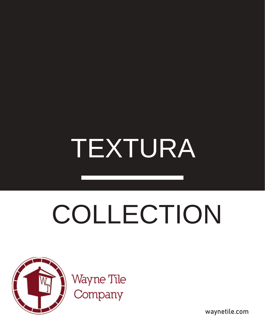## TEXTURA

# COLLECTION



Wayne Tile<br>Company

waynetile.com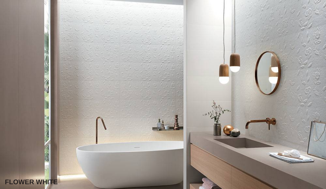$\sim 3$ **FLOWER WHITE**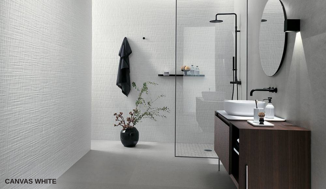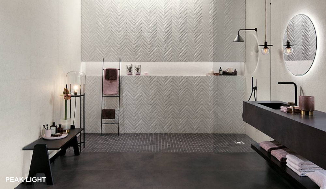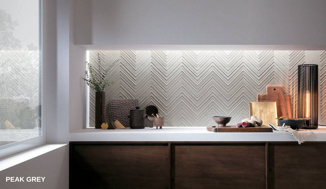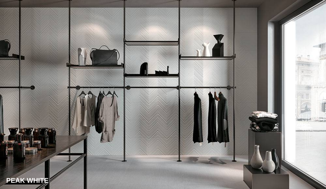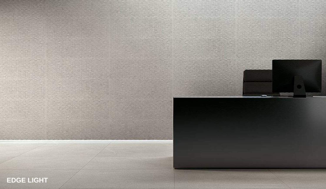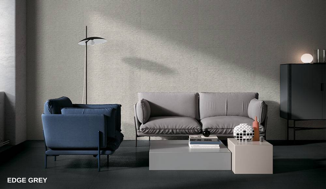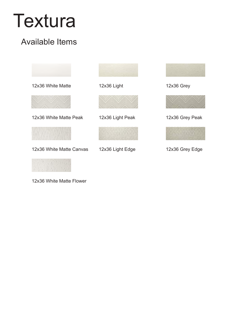## Textura

### Available Items



12x36 White Matte Flower